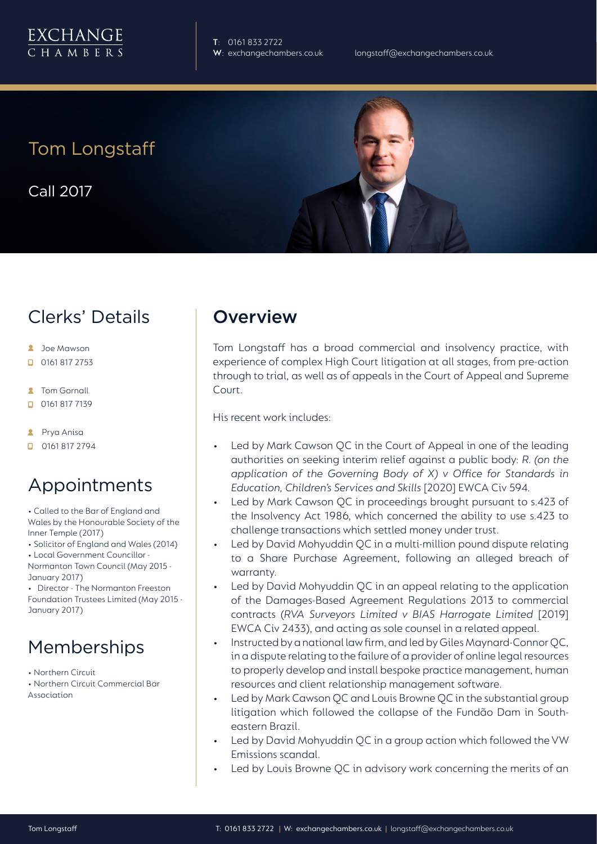**T**: 0161 833 2722

Tom Longstaff

Call 2017

# Clerks' Details

- **2** Joe Mawson
- $\Box$  0161 817 2753
- **R** Tom Gornall
- $\Box$  0161 817 7139
- **2** Prya Anisa
- **D** 0161 817 2794

## Appointments

- Called to the Bar of England and Wales by the Honourable Society of the Inner Temple (2017)
- Solicitor of England and Wales (2014)
- Local Government Councillor -
- Normanton Town Council (May 2015 January 2017)
- Director The Normanton Freeston Foundation Trustees Limited (May 2015 - January 2017)

# Memberships

- Northern Circuit
- Northern Circuit Commercial Bar Association

### **Overview**

Tom Longstaff has a broad commercial and insolvency practice, with experience of complex High Court litigation at all stages, from pre-action through to trial, as well as of appeals in the Court of Appeal and Supreme Court.

His recent work includes:

- Led by Mark Cawson QC in the Court of Appeal in one of the leading authorities on seeking interim relief against a public body: *R. (on the application of the Governing Body of X) v Office for Standards in Education, Children's Services and Skills* [2020] EWCA Civ 594.
- Led by Mark Cawson QC in proceedings brought pursuant to s.423 of the Insolvency Act 1986, which concerned the ability to use s.423 to challenge transactions which settled money under trust.
- Led by David Mohyuddin QC in a multi-million pound dispute relating to a Share Purchase Agreement, following an alleged breach of warranty.
- Led by David Mohyuddin QC in an appeal relating to the application of the Damages-Based Agreement Regulations 2013 to commercial contracts (*RVA Surveyors Limited v BIAS Harrogate Limited* [2019] EWCA Civ 2433), and acting as sole counsel in a related appeal.
- Instructed by a national law firm, and led by Giles Maynard-Connor QC, in a dispute relating to the failure of a provider of online legal resources to properly develop and install bespoke practice management, human resources and client relationship management software.
- Led by Mark Cawson QC and Louis Browne QC in the substantial group litigation which followed the collapse of the Fundão Dam in Southeastern Brazil.
- Led by David Mohyuddin QC in a group action which followed the VW Emissions scandal.
- Led by Louis Browne QC in advisory work concerning the merits of an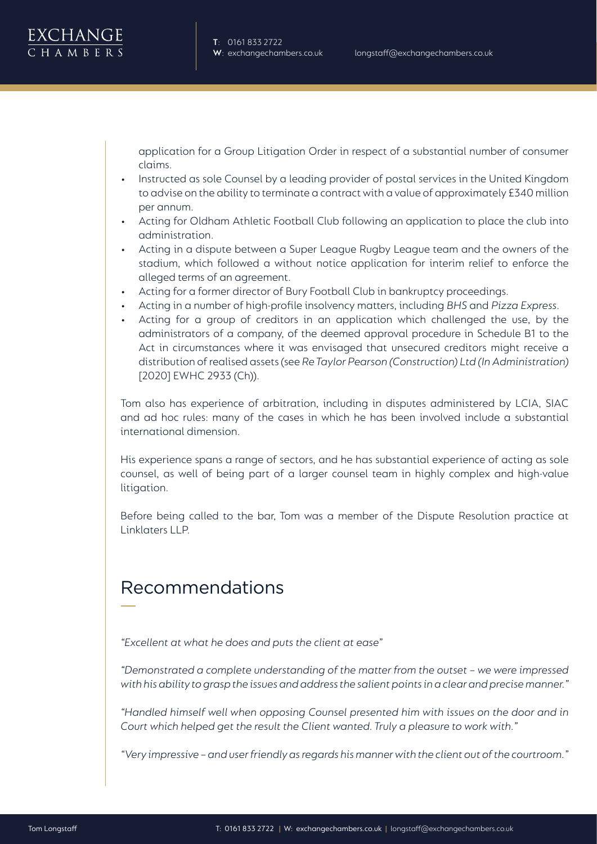application for a Group Litigation Order in respect of a substantial number of consumer claims.

- Instructed as sole Counsel by a leading provider of postal services in the United Kingdom to advise on the ability to terminate a contract with a value of approximately £340 million per annum.
- Acting for Oldham Athletic Football Club following an application to place the club into administration.
- Acting in a dispute between a Super League Rugby League team and the owners of the stadium, which followed a without notice application for interim relief to enforce the alleged terms of an agreement.
- Acting for a former director of Bury Football Club in bankruptcy proceedings.
- Acting in a number of high-profile insolvency matters, including *BHS* and *Pizza Express*.
- Acting for a group of creditors in an application which challenged the use, by the administrators of a company, of the deemed approval procedure in Schedule B1 to the Act in circumstances where it was envisaged that unsecured creditors might receive a distribution of realised assets (see *Re Taylor Pearson (Construction) Ltd (In Administration)*  [2020] EWHC 2933 (Ch)).

Tom also has experience of arbitration, including in disputes administered by LCIA, SIAC and ad hoc rules: many of the cases in which he has been involved include a substantial international dimension.

His experience spans a range of sectors, and he has substantial experience of acting as sole counsel, as well of being part of a larger counsel team in highly complex and high-value litigation.

Before being called to the bar, Tom was a member of the Dispute Resolution practice at Linklaters LLP.

## Recommendations

*"Excellent at what he does and puts the client at ease"* 

*"Demonstrated a complete understanding of the matter from the outset – we were impressed with his ability to grasp the issues and address the salient points in a clear and precise manner."* 

*"Handled himself well when opposing Counsel presented him with issues on the door and in Court which helped get the result the Client wanted. Truly a pleasure to work with."*

*"Very impressive – and user friendly as regards his manner with the client out of the courtroom."*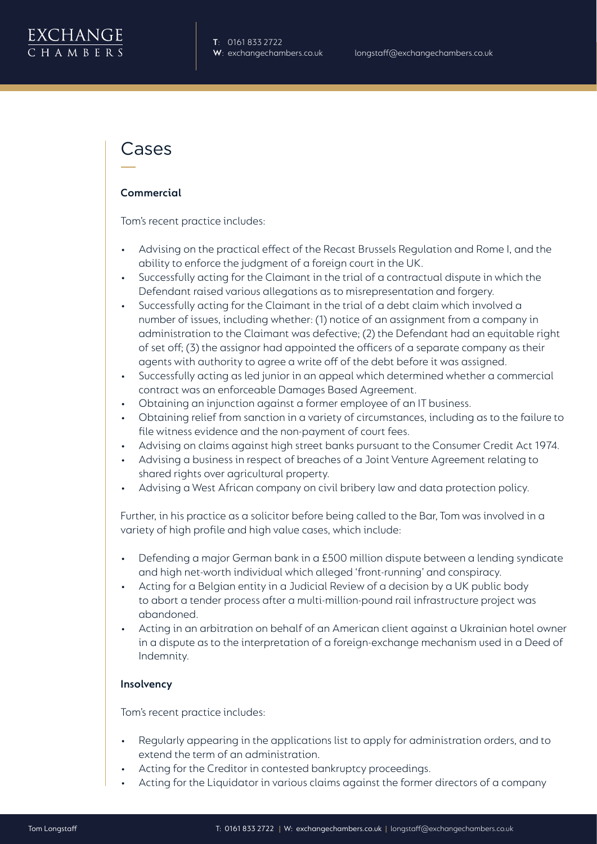### Cases

#### **Commercial**

Tom's recent practice includes:

- Advising on the practical effect of the Recast Brussels Regulation and Rome I, and the ability to enforce the judgment of a foreign court in the UK.
- Successfully acting for the Claimant in the trial of a contractual dispute in which the Defendant raised various allegations as to misrepresentation and forgery.
- Successfully acting for the Claimant in the trial of a debt claim which involved a number of issues, including whether: (1) notice of an assignment from a company in administration to the Claimant was defective; (2) the Defendant had an equitable right of set off; (3) the assignor had appointed the officers of a separate company as their agents with authority to agree a write off of the debt before it was assigned.
- Successfully acting as led junior in an appeal which determined whether a commercial contract was an enforceable Damages Based Agreement.
- Obtaining an injunction against a former employee of an IT business.
- Obtaining relief from sanction in a variety of circumstances, including as to the failure to file witness evidence and the non-payment of court fees.
- Advising on claims against high street banks pursuant to the Consumer Credit Act 1974.
- Advising a business in respect of breaches of a Joint Venture Agreement relating to shared rights over agricultural property.
- Advising a West African company on civil bribery law and data protection policy.

Further, in his practice as a solicitor before being called to the Bar, Tom was involved in a variety of high profile and high value cases, which include:

- Defending a major German bank in a £500 million dispute between a lending syndicate and high net-worth individual which alleged 'front-running' and conspiracy.
- Acting for a Belgian entity in a Judicial Review of a decision by a UK public body to abort a tender process after a multi-million-pound rail infrastructure project was abandoned.
- Acting in an arbitration on behalf of an American client against a Ukrainian hotel owner in a dispute as to the interpretation of a foreign-exchange mechanism used in a Deed of Indemnity.

#### **Insolvency**

Tom's recent practice includes:

- Regularly appearing in the applications list to apply for administration orders, and to extend the term of an administration.
- Acting for the Creditor in contested bankruptcy proceedings.
- Acting for the Liquidator in various claims against the former directors of a company